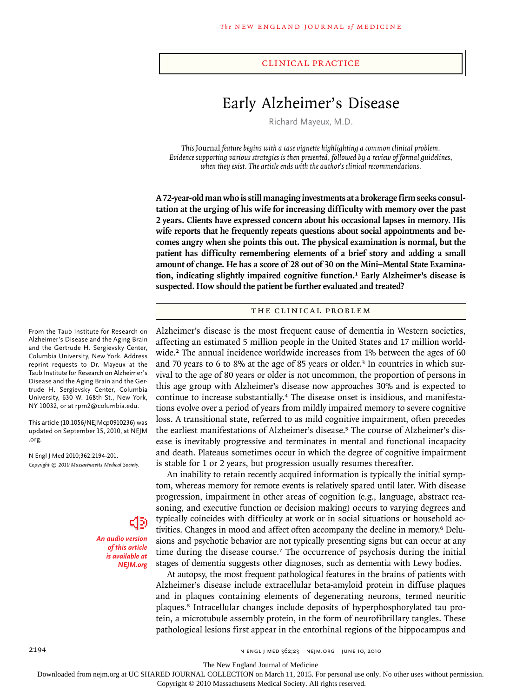#### clinical practice

# Early Alzheimer's Disease

Richard Mayeux, M.D.

*This* Journal *feature begins with a case vignette highlighting a common clinical problem. Evidence supporting various strategies is then presented, followed by a review of formal guidelines, when they exist. The article ends with the author's clinical recommendations.* 

**A 72-year-old man who is still managing investments at a brokerage firm seeks consultation at the urging of his wife for increasing difficulty with memory over the past 2 years. Clients have expressed concern about his occasional lapses in memory. His wife reports that he frequently repeats questions about social appointments and becomes angry when she points this out. The physical examination is normal, but the patient has difficulty remembering elements of a brief story and adding a small amount of change. He has a score of 28 out of 30 on the Mini–Mental State Examination, indicating slightly impaired cognitive function.1 Early Alzheimer's disease is suspected. How should the patient be further evaluated and treated?**

### THE CLINICAL PROBLEM

Alzheimer's disease is the most frequent cause of dementia in Western societies, affecting an estimated 5 million people in the United States and 17 million worldwide.<sup>2</sup> The annual incidence worldwide increases from 1% between the ages of 60 and 70 years to 6 to 8% at the age of 85 years or older.3 In countries in which survival to the age of 80 years or older is not uncommon, the proportion of persons in this age group with Alzheimer's disease now approaches 30% and is expected to continue to increase substantially.<sup>4</sup> The disease onset is insidious, and manifestations evolve over a period of years from mildly impaired memory to severe cognitive loss. A transitional state, referred to as mild cognitive impairment, often precedes the earliest manifestations of Alzheimer's disease.<sup>5</sup> The course of Alzheimer's disease is inevitably progressive and terminates in mental and functional incapacity and death. Plateaus sometimes occur in which the degree of cognitive impairment is stable for 1 or 2 years, but progression usually resumes thereafter.

An inability to retain recently acquired information is typically the initial symptom, whereas memory for remote events is relatively spared until later. With disease progression, impairment in other areas of cognition (e.g., language, abstract reasoning, and executive function or decision making) occurs to varying degrees and typically coincides with difficulty at work or in social situations or household activities. Changes in mood and affect often accompany the decline in memory.6 Delusions and psychotic behavior are not typically presenting signs but can occur at any time during the disease course.<sup>7</sup> The occurrence of psychosis during the initial stages of dementia suggests other diagnoses, such as dementia with Lewy bodies.

At autopsy, the most frequent pathological features in the brains of patients with Alzheimer's disease include extracellular beta-amyloid protein in diffuse plaques and in plaques containing elements of degenerating neurons, termed neuritic plaques.8 Intracellular changes include deposits of hyperphosphorylated tau protein, a microtubule assembly protein, in the form of neurofibrillary tangles. These pathological lesions first appear in the entorhinal regions of the hippocampus and

From the Taub Institute for Research on Alzheimer's Disease and the Aging Brain and the Gertrude H. Sergievsky Center, Columbia University, New York. Address reprint requests to Dr. Mayeux at the Taub Institute for Research on Alzheimer's Disease and the Aging Brain and the Gertrude H. Sergievsky Center, Columbia University, 630 W. 168th St., New York, NY 10032, or at rpm2@columbia.edu.

This article (10.1056/NEJMcp0910236) was updated on September 15, 2010, at NEJM .org.

N Engl J Med 2010;362:2194-201. *Copyright © 2010 Massachusetts Medical Society.*

> *An audio version of this article is available at NEJM.org*

The New England Journal of Medicine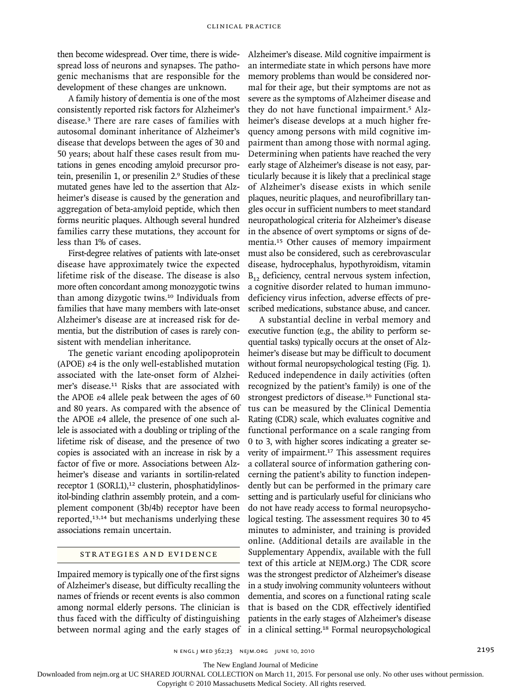then become widespread. Over time, there is widespread loss of neurons and synapses. The pathogenic mechanisms that are responsible for the development of these changes are unknown.

A family history of dementia is one of the most consistently reported risk factors for Alzheimer's disease.3 There are rare cases of families with autosomal dominant inheritance of Alzheimer's disease that develops between the ages of 30 and 50 years; about half these cases result from mutations in genes encoding amyloid precursor protein, presenilin 1, or presenilin 2.9 Studies of these mutated genes have led to the assertion that Alzheimer's disease is caused by the generation and aggregation of beta-amyloid peptide, which then forms neuritic plaques. Although several hundred families carry these mutations, they account for less than 1% of cases.

First-degree relatives of patients with late-onset disease have approximately twice the expected lifetime risk of the disease. The disease is also more often concordant among monozygotic twins than among dizygotic twins.10 Individuals from families that have many members with late-onset Alzheimer's disease are at increased risk for dementia, but the distribution of cases is rarely consistent with mendelian inheritance.

The genetic variant encoding apolipoprotein (APOE) ε4 is the only well-established mutation associated with the late-onset form of Alzheimer's disease.11 Risks that are associated with the APOE  $\varepsilon$ 4 allele peak between the ages of 60 and 80 years. As compared with the absence of the APOE ε4 allele, the presence of one such allele is associated with a doubling or tripling of the lifetime risk of disease, and the presence of two copies is associated with an increase in risk by a factor of five or more. Associations between Alzheimer's disease and variants in sortilin-related receptor 1 (SORL1),<sup>12</sup> clusterin, phosphatidylinositol-binding clathrin assembly protein, and a complement component (3b/4b) receptor have been reported,13,14 but mechanisms underlying these associations remain uncertain.

# STRATEGIES AND EVIDENCE

Impaired memory is typically one of the first signs of Alzheimer's disease, but difficulty recalling the names of friends or recent events is also common among normal elderly persons. The clinician is thus faced with the difficulty of distinguishing between normal aging and the early stages of Alzheimer's disease. Mild cognitive impairment is an intermediate state in which persons have more memory problems than would be considered normal for their age, but their symptoms are not as severe as the symptoms of Alzheimer disease and they do not have functional impairment.5 Alzheimer's disease develops at a much higher frequency among persons with mild cognitive impairment than among those with normal aging. Determining when patients have reached the very early stage of Alzheimer's disease is not easy, particularly because it is likely that a preclinical stage of Alzheimer's disease exists in which senile plaques, neuritic plaques, and neurofibrillary tangles occur in sufficient numbers to meet standard neuropathological criteria for Alzheimer's disease in the absence of overt symptoms or signs of dementia.15 Other causes of memory impairment must also be considered, such as cerebrovascular disease, hydrocephalus, hypothyroidism, vitamin  $B_{12}$  deficiency, central nervous system infection, a cognitive disorder related to human immunodeficiency virus infection, adverse effects of prescribed medications, substance abuse, and cancer.

A substantial decline in verbal memory and executive function (e.g., the ability to perform sequential tasks) typically occurs at the onset of Alzheimer's disease but may be difficult to document without formal neuropsychological testing (Fig. 1). Reduced independence in daily activities (often recognized by the patient's family) is one of the strongest predictors of disease.16 Functional status can be measured by the Clinical Dementia Rating (CDR) scale, which evaluates cognitive and functional performance on a scale ranging from 0 to 3, with higher scores indicating a greater severity of impairment.<sup>17</sup> This assessment requires a collateral source of information gathering concerning the patient's ability to function independently but can be performed in the primary care setting and is particularly useful for clinicians who do not have ready access to formal neuropsychological testing. The assessment requires 30 to 45 minutes to administer, and training is provided online. (Additional details are available in the Supplementary Appendix, available with the full text of this article at NEJM.org.) The CDR score was the strongest predictor of Alzheimer's disease in a study involving community volunteers without dementia, and scores on a functional rating scale that is based on the CDR effectively identified patients in the early stages of Alzheimer's disease in a clinical setting.18 Formal neuropsychological

n engl j med 362;23 nejm.org june 10, 2010 2195

The New England Journal of Medicine

Downloaded from nejm.org at UC SHARED JOURNAL COLLECTION on March 11, 2015. For personal use only. No other uses without permission.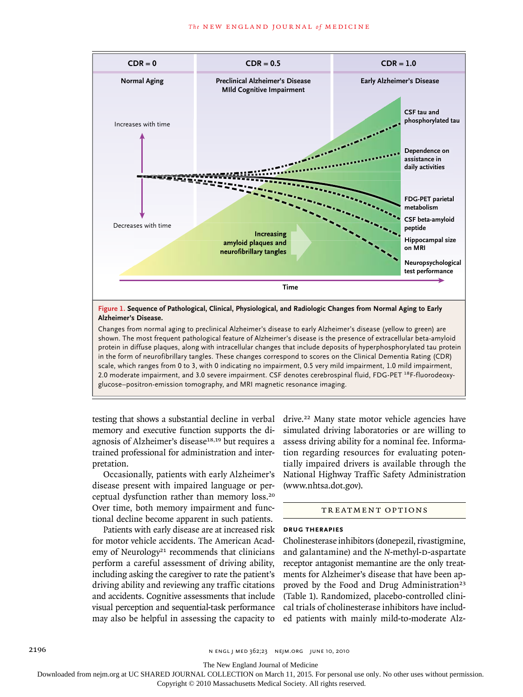

Changes from normal aging to preclinical Alzheimer's disease to early Alzheimer's disease (yellow to green) are shown. The most frequent pathological feature of Alzheimer's disease is the presence of extracellular beta-amyloid protein in diffuse plaques, along with intracellular changes that include deposits of hyperphosphorylated tau protein in the form of neurofibrillary tangles. These changes correspond to scores on the Clinical Dementia Rating (CDR) scale, which ranges from 0 to 3, with 0 indicating no impairment, 0.5 very mild impairment, 1.0 mild impairment, 2.0 moderate impairment, and 3.0 severe impairment. CSF denotes cerebrospinal fluid, FDG-PET <sup>18</sup>F-fluorodeoxyglucose–positron-emission tomography, and MRI magnetic resonance imaging.

testing that shows a substantial decline in verbal memory and executive function supports the diagnosis of Alzheimer's disease<sup>18,19</sup> but requires a trained professional for administration and interpretation.

Occasionally, patients with early Alzheimer's disease present with impaired language or perceptual dysfunction rather than memory loss.<sup>20</sup> Over time, both memory impairment and functional decline become apparent in such patients.

Patients with early disease are at increased risk for motor vehicle accidents. The American Academy of Neurology<sup>21</sup> recommends that clinicians perform a careful assessment of driving ability, including asking the caregiver to rate the patient's driving ability and reviewing any traffic citations and accidents. Cognitive assessments that include visual perception and sequential-task performance may also be helpful in assessing the capacity to drive.<sup>22</sup> Many state motor vehicle agencies have simulated driving laboratories or are willing to assess driving ability for a nominal fee. Information regarding resources for evaluating potentially impaired drivers is available through the National Highway Traffic Safety Administration (www.nhtsa.dot.gov).

# TREATMENT OPTIONS

#### **Drug Therapies**

Cholinesterase inhibitors (donepezil, rivastigmine, and galantamine) and the *N*-methyl-D-aspartate receptor antagonist memantine are the only treatments for Alzheimer's disease that have been approved by the Food and Drug Administration<sup>23</sup> (Table 1). Randomized, placebo-controlled clinical trials of cholinesterase inhibitors have included patients with mainly mild-to-moderate Alz-

2196 n engl j med 362;23 nejm.org june 10, 2010

The New England Journal of Medicine

Downloaded from nejm.org at UC SHARED JOURNAL COLLECTION on March 11, 2015. For personal use only. No other uses without permission.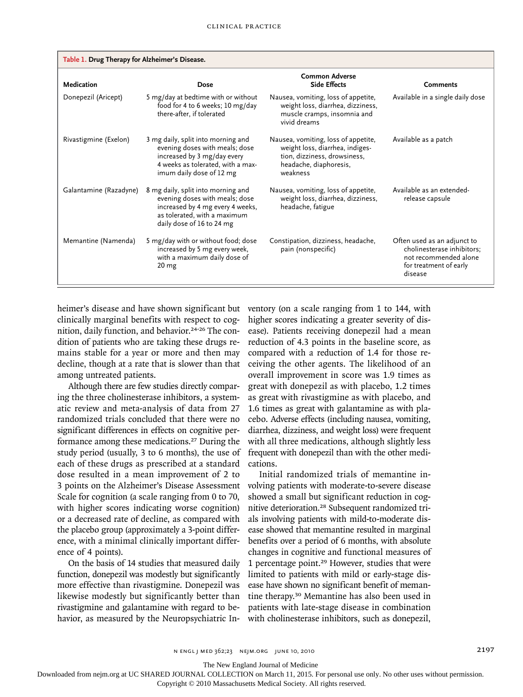| Table 1. Drug Therapy for Alzheimer's Disease. |                                                                                                                                                                       |                                                                                                                                              |                                                                                                                         |
|------------------------------------------------|-----------------------------------------------------------------------------------------------------------------------------------------------------------------------|----------------------------------------------------------------------------------------------------------------------------------------------|-------------------------------------------------------------------------------------------------------------------------|
| Medication                                     | <b>Dose</b>                                                                                                                                                           | <b>Common Adverse</b><br><b>Side Effects</b>                                                                                                 | <b>Comments</b>                                                                                                         |
| Donepezil (Aricept)                            | 5 mg/day at bedtime with or without<br>food for 4 to 6 weeks; 10 mg/day<br>there-after, if tolerated                                                                  | Nausea, vomiting, loss of appetite,<br>weight loss, diarrhea, dizziness,<br>muscle cramps, insomnia and<br>vivid dreams                      | Available in a single daily dose                                                                                        |
| Rivastigmine (Exelon)                          | 3 mg daily, split into morning and<br>evening doses with meals; dose<br>increased by 3 mg/day every<br>4 weeks as tolerated, with a max-<br>imum daily dose of 12 mg  | Nausea, vomiting, loss of appetite,<br>weight loss, diarrhea, indiges-<br>tion, dizziness, drowsiness,<br>headache, diaphoresis,<br>weakness | Available as a patch                                                                                                    |
| Galantamine (Razadyne)                         | 8 mg daily, split into morning and<br>evening doses with meals; dose<br>increased by 4 mg every 4 weeks,<br>as tolerated, with a maximum<br>daily dose of 16 to 24 mg | Nausea, vomiting, loss of appetite,<br>weight loss, diarrhea, dizziness,<br>headache, fatigue                                                | Available as an extended-<br>release capsule                                                                            |
| Memantine (Namenda)                            | 5 mg/day with or without food; dose<br>increased by 5 mg every week,<br>with a maximum daily dose of<br>20 <sub>mg</sub>                                              | Constipation, dizziness, headache,<br>pain (nonspecific)                                                                                     | Often used as an adjunct to<br>cholinesterase inhibitors;<br>not recommended alone<br>for treatment of early<br>disease |

heimer's disease and have shown significant but clinically marginal benefits with respect to cognition, daily function, and behavior.<sup>24-26</sup> The condition of patients who are taking these drugs remains stable for a year or more and then may decline, though at a rate that is slower than that among untreated patients.

Although there are few studies directly comparing the three cholinesterase inhibitors, a systematic review and meta-analysis of data from 27 randomized trials concluded that there were no significant differences in effects on cognitive performance among these medications.<sup>27</sup> During the study period (usually, 3 to 6 months), the use of each of these drugs as prescribed at a standard dose resulted in a mean improvement of 2 to 3 points on the Alzheimer's Disease Assessment Scale for cognition (a scale ranging from 0 to 70, with higher scores indicating worse cognition) or a decreased rate of decline, as compared with the placebo group (approximately a 3-point difference, with a minimal clinically important difference of 4 points).

On the basis of 14 studies that measured daily function, donepezil was modestly but significantly more effective than rivastigmine. Donepezil was likewise modestly but significantly better than rivastigmine and galantamine with regard to behavior, as measured by the Neuropsychiatric Inventory (on a scale ranging from 1 to 144, with higher scores indicating a greater severity of disease). Patients receiving donepezil had a mean reduction of 4.3 points in the baseline score, as compared with a reduction of 1.4 for those receiving the other agents. The likelihood of an overall improvement in score was 1.9 times as great with donepezil as with placebo, 1.2 times as great with rivastigmine as with placebo, and 1.6 times as great with galantamine as with placebo. Adverse effects (including nausea, vomiting, diarrhea, dizziness, and weight loss) were frequent with all three medications, although slightly less frequent with donepezil than with the other medications.

Initial randomized trials of memantine involving patients with moderate-to-severe disease showed a small but significant reduction in cognitive deterioration.28 Subsequent randomized trials involving patients with mild-to-moderate disease showed that memantine resulted in marginal benefits over a period of 6 months, with absolute changes in cognitive and functional measures of 1 percentage point.29 However, studies that were limited to patients with mild or early-stage disease have shown no significant benefit of memantine therapy.30 Memantine has also been used in patients with late-stage disease in combination with cholinesterase inhibitors, such as donepezil,

The New England Journal of Medicine

Downloaded from nejm.org at UC SHARED JOURNAL COLLECTION on March 11, 2015. For personal use only. No other uses without permission.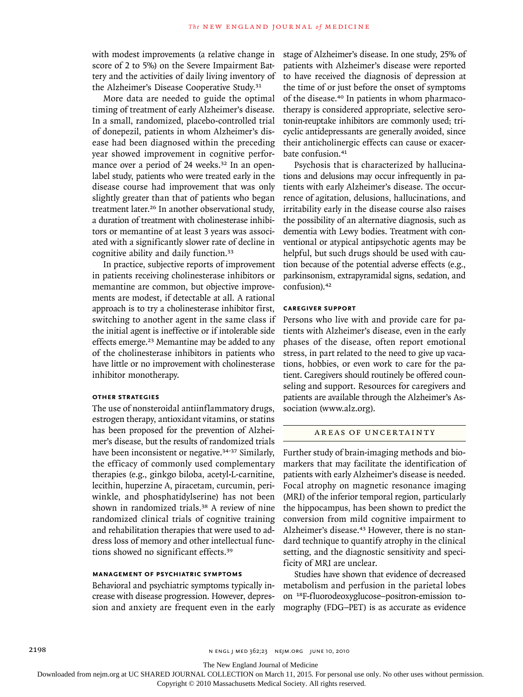with modest improvements (a relative change in score of 2 to 5%) on the Severe Impairment Battery and the activities of daily living inventory of the Alzheimer's Disease Cooperative Study.<sup>31</sup>

More data are needed to guide the optimal timing of treatment of early Alzheimer's disease. In a small, randomized, placebo-controlled trial of donepezil, patients in whom Alzheimer's disease had been diagnosed within the preceding year showed improvement in cognitive performance over a period of 24 weeks.<sup>32</sup> In an openlabel study, patients who were treated early in the disease course had improvement that was only slightly greater than that of patients who began treatment later.<sup>26</sup> In another observational study, a duration of treatment with cholinesterase inhibitors or memantine of at least 3 years was associated with a significantly slower rate of decline in cognitive ability and daily function.<sup>33</sup>

In practice, subjective reports of improvement in patients receiving cholinesterase inhibitors or memantine are common, but objective improvements are modest, if detectable at all. A rational approach is to try a cholinesterase inhibitor first, switching to another agent in the same class if the initial agent is ineffective or if intolerable side effects emerge.<sup>23</sup> Memantine may be added to any of the cholinesterase inhibitors in patients who have little or no improvement with cholinesterase inhibitor monotherapy.

## **Other Strategies**

The use of nonsteroidal antiinflammatory drugs, estrogen therapy, antioxidant vitamins, or statins has been proposed for the prevention of Alzheimer's disease, but the results of randomized trials have been inconsistent or negative.<sup>34-37</sup> Similarly, the efficacy of commonly used complementary therapies (e.g., ginkgo biloba, acetyl-L-carnitine, lecithin, huperzine A, piracetam, curcumin, periwinkle, and phosphatidylserine) has not been shown in randomized trials.38 A review of nine randomized clinical trials of cognitive training and rehabilitation therapies that were used to address loss of memory and other intellectual functions showed no significant effects.<sup>39</sup>

#### **Management of Psychiatric Symptoms**

Behavioral and psychiatric symptoms typically increase with disease progression. However, depression and anxiety are frequent even in the early stage of Alzheimer's disease. In one study, 25% of patients with Alzheimer's disease were reported to have received the diagnosis of depression at the time of or just before the onset of symptoms of the disease.40 In patients in whom pharmacotherapy is considered appropriate, selective serotonin-reuptake inhibitors are commonly used; tricyclic antidepressants are generally avoided, since their anticholinergic effects can cause or exacerbate confusion.<sup>41</sup>

Psychosis that is characterized by hallucinations and delusions may occur infrequently in patients with early Alzheimer's disease. The occurrence of agitation, delusions, hallucinations, and irritability early in the disease course also raises the possibility of an alternative diagnosis, such as dementia with Lewy bodies. Treatment with conventional or atypical antipsychotic agents may be helpful, but such drugs should be used with caution because of the potential adverse effects (e.g., parkinsonism, extrapyramidal signs, sedation, and confusion).<sup>42</sup>

#### **Caregiver Support**

Persons who live with and provide care for patients with Alzheimer's disease, even in the early phases of the disease, often report emotional stress, in part related to the need to give up vacations, hobbies, or even work to care for the patient. Caregivers should routinely be offered counseling and support. Resources for caregivers and patients are available through the Alzheimer's Association (www.alz.org).

#### AREAS OF UNCERTAINTY

Further study of brain-imaging methods and biomarkers that may facilitate the identification of patients with early Alzheimer's disease is needed. Focal atrophy on magnetic resonance imaging (MRI) of the inferior temporal region, particularly the hippocampus, has been shown to predict the conversion from mild cognitive impairment to Alzheimer's disease.<sup>43</sup> However, there is no standard technique to quantify atrophy in the clinical setting, and the diagnostic sensitivity and specificity of MRI are unclear.

Studies have shown that evidence of decreased metabolism and perfusion in the parietal lobes on 18F-fluorodeoxyglucose–positron-emission tomography (FDG–PET) is as accurate as evidence

The New England Journal of Medicine

Downloaded from nejm.org at UC SHARED JOURNAL COLLECTION on March 11, 2015. For personal use only. No other uses without permission.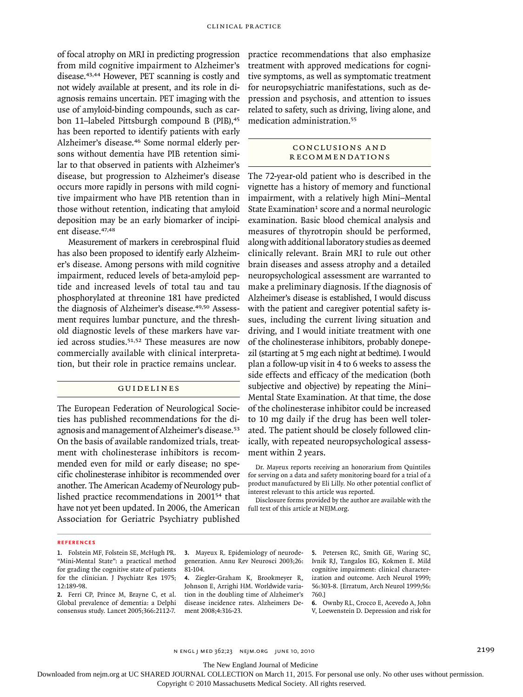of focal atrophy on MRI in predicting progression from mild cognitive impairment to Alzheimer's disease.43,44 However, PET scanning is costly and not widely available at present, and its role in diagnosis remains uncertain. PET imaging with the use of amyloid-binding compounds, such as carbon 11-labeled Pittsburgh compound B (PIB),<sup>45</sup> has been reported to identify patients with early Alzheimer's disease.46 Some normal elderly persons without dementia have PIB retention similar to that observed in patients with Alzheimer's disease, but progression to Alzheimer's disease occurs more rapidly in persons with mild cognitive impairment who have PIB retention than in those without retention, indicating that amyloid deposition may be an early biomarker of incipient disease.<sup>47,48</sup>

Measurement of markers in cerebrospinal fluid has also been proposed to identify early Alzheimer's disease. Among persons with mild cognitive impairment, reduced levels of beta-amyloid peptide and increased levels of total tau and tau phosphorylated at threonine 181 have predicted the diagnosis of Alzheimer's disease.<sup>49,50</sup> Assessment requires lumbar puncture, and the threshold diagnostic levels of these markers have varied across studies.51,52 These measures are now commercially available with clinical interpretation, but their role in practice remains unclear.

#### Guidelines

The European Federation of Neurological Societies has published recommendations for the diagnosis and management of Alzheimer's disease.<sup>53</sup> On the basis of available randomized trials, treatment with cholinesterase inhibitors is recommended even for mild or early disease; no specific cholinesterase inhibitor is recommended over another. The American Academy of Neurology published practice recommendations in 200154 that have not yet been updated. In 2006, the American Association for Geriatric Psychiatry published

practice recommendations that also emphasize treatment with approved medications for cognitive symptoms, as well as symptomatic treatment for neuropsychiatric manifestations, such as depression and psychosis, and attention to issues related to safety, such as driving, living alone, and medication administration.<sup>55</sup>

### Conclusions a nd R ecommendations

The 72-year-old patient who is described in the vignette has a history of memory and functional impairment, with a relatively high Mini–Mental State Examination $1$  score and a normal neurologic examination. Basic blood chemical analysis and measures of thyrotropin should be performed, along with additional laboratory studies as deemed clinically relevant. Brain MRI to rule out other brain diseases and assess atrophy and a detailed neuropsychological assessment are warranted to make a preliminary diagnosis. If the diagnosis of Alzheimer's disease is established, I would discuss with the patient and caregiver potential safety issues, including the current living situation and driving, and I would initiate treatment with one of the cholinesterase inhibitors, probably donepezil (starting at 5 mg each night at bedtime). I would plan a follow-up visit in 4 to 6 weeks to assess the side effects and efficacy of the medication (both subjective and objective) by repeating the Mini– Mental State Examination. At that time, the dose of the cholinesterase inhibitor could be increased to 10 mg daily if the drug has been well tolerated. The patient should be closely followed clinically, with repeated neuropsychological assessment within 2 years.

Dr. Mayeux reports receiving an honorarium from Quintiles for serving on a data and safety monitoring board for a trial of a product manufactured by Eli Lilly. No other potential conflict of interest relevant to this article was reported.

Disclosure forms provided by the author are available with the full text of this article at NEJM.org.

#### **References**

**2.** Ferri CP, Prince M, Brayne C, et al. Global prevalence of dementia: a Delphi consensus study. Lancet 2005;366:2112-7.

**3.** Mayeux R. Epidemiology of neurodegeneration. Annu Rev Neurosci 2003;26: 81-104.

**4.** Ziegler-Graham K, Brookmeyer R, Johnson E, Arrighi HM. Worldwide variation in the doubling time of Alzheimer's disease incidence rates. Alzheimers Dement 2008;4:316-23.

**5.** Petersen RC, Smith GE, Waring SC, Ivnik RJ, Tangalos EG, Kokmen E. Mild cognitive impairment: clinical characterization and outcome. Arch Neurol 1999; 56:303-8. [Erratum, Arch Neurol 1999;56: 760.]

**6.** Ownby RL, Crocco E, Acevedo A, John V, Loewenstein D. Depression and risk for

n engl j med 362;23 nejm.org june 10, 2010 2199

The New England Journal of Medicine

Downloaded from nejm.org at UC SHARED JOURNAL COLLECTION on March 11, 2015. For personal use only. No other uses without permission.

**<sup>1.</sup>** Folstein MF, Folstein SE, McHugh PR. "Mini-Mental State": a practical method for grading the cognitive state of patients for the clinician. J Psychiatr Res 1975; 12:189-98.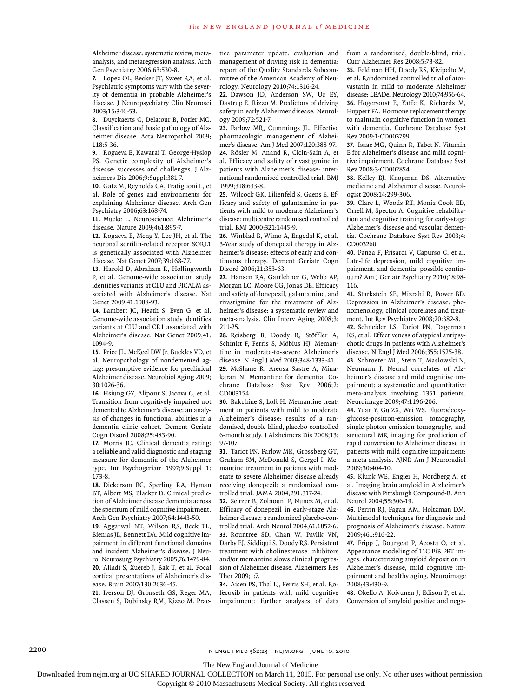Alzheimer disease: systematic review, metaanalysis, and metaregression analysis. Arch Gen Psychiatry 2006;63:530-8.

**7.** Lopez OL, Becker JT, Sweet RA, et al. Psychiatric symptoms vary with the severity of dementia in probable Alzheimer's disease. J Neuropsychiatry Clin Neurosci 2003;15:346-53.

**8.** Duyckaerts C, Delatour B, Potier MC. Classification and basic pathology of Alzheimer disease. Acta Neuropathol 2009; 118:5-36.

**9.** Rogaeva E, Kawarai T, George-Hyslop PS. Genetic complexity of Alzheimer's disease: successes and challenges. J Alzheimers Dis 2006;9:Suppl:381-7.

**10.** Gatz M, Reynolds CA, Fratiglioni L, et al. Role of genes and environments for explaining Alzheimer disease. Arch Gen Psychiatry 2006;63:168-74.

**11.** Mucke L. Neuroscience: Alzheimer's disease. Nature 2009;461:895-7.

**12.** Rogaeva E, Meng Y, Lee JH, et al. The neuronal sortilin-related receptor SORL1 is genetically associated with Alzheimer disease. Nat Genet 2007;39:168-77.

**13.** Harold D, Abraham R, Hollingworth P, et al. Genome-wide association study identifies variants at CLU and PICALM associated with Alzheimer's disease. Nat Genet 2009;41:1088-93.

**14.** Lambert JC, Heath S, Even G, et al. Genome-wide association study identifies variants at CLU and CR1 associated with Alzheimer's disease. Nat Genet 2009;41: 1094-9.

**15.** Price JL, McKeel DW Jr, Buckles VD, et al. Neuropathology of nondemented aging: presumptive evidence for preclinical Alzheimer disease. Neurobiol Aging 2009; 30:1026-36.

**16.** Hsiung GY, Alipour S, Jacova C, et al. Transition from cognitively impaired not demented to Alzheimer's disease: an analysis of changes in functional abilities in a dementia clinic cohort. Dement Geriatr Cogn Disord 2008;25:483-90.

**17.** Morris JC. Clinical dementia rating: a reliable and valid diagnostic and staging measure for dementia of the Alzheimer type. Int Psychogeriatr 1997;9:Suppl 1: 173-8.

**18.** Dickerson BC, Sperling RA, Hyman BT, Albert MS, Blacker D. Clinical prediction of Alzheimer disease dementia across the spectrum of mild cognitive impairment. Arch Gen Psychiatry 2007;64:1443-50.

**19.** Aggarwal NT, Wilson RS, Beck TL, Bienias JL, Bennett DA. Mild cognitive impairment in different functional domains and incident Alzheimer's disease. J Neurol Neurosurg Psychiatry 2005;76:1479-84. **20.** Alladi S, Xuereb J, Bak T, et al. Focal cortical presentations of Alzheimer's disease. Brain 2007;130:2636-45.

**21.** Iverson DJ, Gronseth GS, Reger MA, Classen S, Dubinsky RM, Rizzo M. Practice parameter update: evaluation and management of driving risk in dementia: report of the Quality Standards Subcommittee of the American Academy of Neurology. Neurology 2010;74:1316-24.

**22.** Dawson JD, Anderson SW, Uc EY, Dastrup E, Rizzo M. Predictors of driving safety in early Alzheimer disease. Neurology 2009;72:521-7.

**23.** Farlow MR, Cummings JL. Effective pharmacologic management of Alzheimer's disease. Am J Med 2007;120:388-97. **24.** Rösler M, Anand R, Cicin-Sain A, et al. Efficacy and safety of rivastigmine in patients with Alzheimer's disease: international randomised controlled trial. BMJ 1999;318:633-8.

**25.** Wilcock GK, Lilienfeld S, Gaens E. Efficacy and safety of galantamine in patients with mild to moderate Alzheimer's disease: multicentre randomised controlled trial. BMJ 2000;321:1445-9.

**26.** Winblad B, Wimo A, Engedal K, et al. 3-Year study of donepezil therapy in Alzheimer's disease: effects of early and continuous therapy. Dement Geriatr Cogn Disord 2006;21:353-63.

**27.** Hansen RA, Gartlehner G, Webb AP, Morgan LC, Moore CG, Jonas DE. Efficacy and safety of donepezil, galantamine, and rivastigmine for the treatment of Alzheimer's disease: a systematic review and meta-analysis. Clin Interv Aging 2008;3: 211-25.

**28.** Reisberg B, Doody R, Stöffler A, Schmitt F, Ferris S, Möbius HJ. Memantine in moderate-to-severe Alzheimer's disease. N Engl J Med 2003;348:1333-41. **29.** McShane R, Areosa Sastre A, Minakaran N. Memantine for dementia. Cochrane Database Syst Rev 2006;2: CD003154.

**30.** Bakchine S, Loft H. Memantine treatment in patients with mild to moderate Alzheimer's disease: results of a randomised, double-blind, placebo-controlled 6-month study. J Alzheimers Dis 2008;13: 97-107.

**31.** Tariot PN, Farlow MR, Grossberg GT, Graham SM, McDonald S, Gergel I. Memantine treatment in patients with moderate to severe Alzheimer disease already receiving donepezil: a randomized controlled trial. JAMA 2004;291:317-24.

**32.** Seltzer B, Zolnouni P, Nunez M, et al. Efficacy of donepezil in early-stage Alzheimer disease: a randomized placebo-controlled trial. Arch Neurol 2004;61:1852-6. **33.** Rountree SD, Chan W, Pavlik VN, Darby EJ, Siddiqui S, Doody RS. Persistent treatment with cholinesterase inhibitors and/or memantine slows clinical progression of Alzheimer disease. Alzheimers Res Ther 2009;1:7.

**34.** Aisen PS, Thal LJ, Ferris SH, et al. Rofecoxib in patients with mild cognitive impairment: further analyses of data from a randomized, double-blind, trial. Curr Alzheimer Res 2008;5:73-82.

**35.** Feldman HH, Doody RS, Kivipelto M, et al. Randomized controlled trial of atorvastatin in mild to moderate Alzheimer disease: LEADe. Neurology 2010;74:956-64. **36.** Hogervorst E, Yaffe K, Richards M, Huppert FA. Hormone replacement therapy to maintain cognitive function in women with dementia. Cochrane Database Syst Rev 2009;1:CD003799.

**37.** Isaac MG, Quinn R, Tabet N. Vitamin E for Alzheimer's disease and mild cognitive impairment. Cochrane Database Syst Rev 2008;3:CD002854.

**38.** Kelley BJ, Knopman DS. Alternative medicine and Alzheimer disease. Neurologist 2008;14:299-306.

**39.** Clare L, Woods RT, Moniz Cook ED, Orrell M, Spector A. Cognitive rehabilitation and cognitive training for early-stage Alzheimer's disease and vascular dementia. Cochrane Database Syst Rev 2003;4: CD003260.

**40.** Panza F, Frisardi V, Capurso C, et al. Late-life depression, mild cognitive impairment, and dementia: possible continuum? Am J Geriatr Psychiatry 2010;18:98- 116.

**41.** Starkstein SE, Mizrahi R, Power BD. Depression in Alzheimer's disease: phenomenology, clinical correlates and treatment. Int Rev Psychiatry 2008;20:382-8.

**42.** Schneider LS, Tariot PN, Dagerman KS, et al. Effectiveness of atypical antipsychotic drugs in patients with Alzheimer's disease. N Engl J Med 2006;355:1525-38.

**43.** Schroeter ML, Stein T, Maslowski N, Neumann J. Neural correlates of Alzheimer's disease and mild cognitive impairment: a systematic and quantitative meta-analysis involving 1351 patients. Neuroimage 2009;47:1196-206.

**44.** Yuan Y, Gu ZX, Wei WS. Fluorodeoxyglucose-positron-emission tomography, single-photon emission tomography, and structural MR imaging for prediction of rapid conversion to Alzheimer disease in patients with mild cognitive impairment: a meta-analysis. AJNR Am J Neuroradiol 2009;30:404-10.

**45.** Klunk WE, Engler H, Nordberg A, et al. Imaging brain amyloid in Alzheimer's disease with Pittsburgh Compound-B. Ann Neurol 2004;55:306-19.

**46.** Perrin RJ, Fagan AM, Holtzman DM. Multimodal techniques for diagnosis and prognosis of Alzheimer's disease. Nature 2009;461:916-22.

**47.** Fripp J, Bourgeat P, Acosta O, et al. Appearance modeling of 11C PiB PET images: characterizing amyloid deposition in Alzheimer's disease, mild cognitive impairment and healthy aging. Neuroimage 2008;43:430-9.

**48.** Okello A, Koivunen J, Edison P, et al. Conversion of amyloid positive and nega-

2200 n engl j med 362;23 nejm.org june 10, 2010

The New England Journal of Medicine

Downloaded from nejm.org at UC SHARED JOURNAL COLLECTION on March 11, 2015. For personal use only. No other uses without permission.